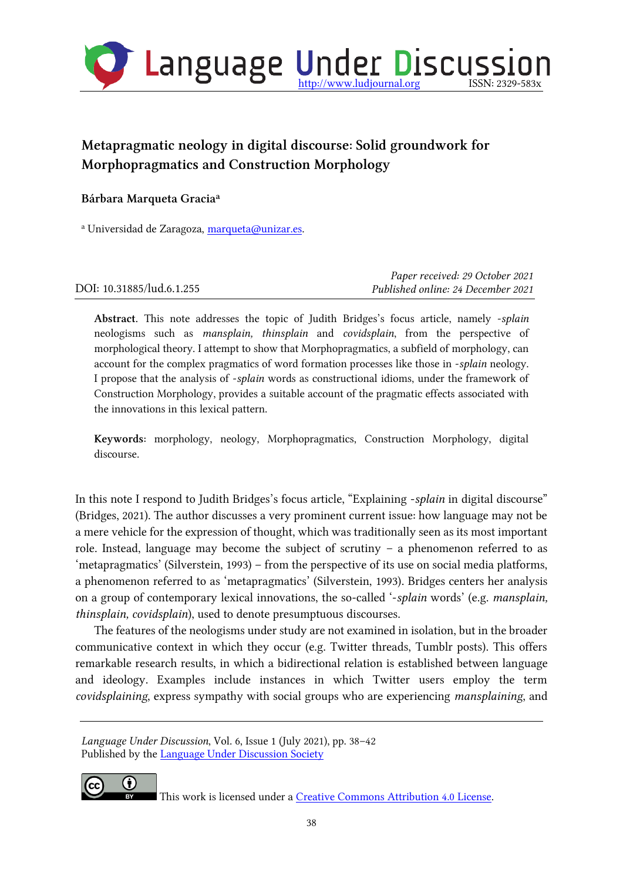

# Metapragmatic neology in digital discourse: Solid groundwork for Morphopragmatics and Construction Morphology

## Bárbara Marqueta Gracia<sup>a</sup>

<sup>a</sup> Universidad de Zaragoza, [marqueta@unizar.es.](mailto:marqueta@unizar.es)

|                           | Paper received: 29 October 2021    |
|---------------------------|------------------------------------|
| DOI: 10.31885/lud.6.1.255 | Published online: 24 December 2021 |

Abstract. This note addresses the topic of Judith Bridges's focus article, namely -*splain* neologisms such as *mansplain, thinsplain* and *covidsplain*, from the perspective of morphological theory. I attempt to show that Morphopragmatics, a subfield of morphology, can account for the complex pragmatics of word formation processes like those in -*splain* neology. I propose that the analysis of -*splain* words as constructional idioms, under the framework of Construction Morphology, provides a suitable account of the pragmatic effects associated with the innovations in this lexical pattern.

Keywords: morphology, neology, Morphopragmatics, Construction Morphology, digital discourse.

In this note I respond to Judith Bridges's focus article, "Explaining -*splain* in digital discourse" (Bridges, 2021). The author discusses a very prominent current issue: how language may not be a mere vehicle for the expression of thought, which was traditionally seen as its most important role. Instead, language may become the subject of scrutiny – a phenomenon referred to as 'metapragmatics' (Silverstein, 1993) – from the perspective of its use on social media platforms, a phenomenon referred to as 'metapragmatics' (Silverstein, 1993). Bridges centers her analysis on a group of contemporary lexical innovations, the so-called '-*splain* words' (e.g. *mansplain, thinsplain, covidsplain*), used to denote presumptuous discourses.

The features of the neologisms under study are not examined in isolation, but in the broader communicative context in which they occur (e.g. Twitter threads, Tumblr posts). This offers remarkable research results, in which a bidirectional relation is established between language and ideology. Examples include instances in which Twitter users employ the term *covidsplaining*, express sympathy with social groups who are experiencing *mansplaining*, and

*Language Under Discussion*, Vol. 6, Issue 1 (July 2021), pp. 38–42 Published by the [Language Under Discussion Society](http://ludsociety.org/)



This work is licensed under a [Creative Commons Attribution 4.0 License.](http://creativecommons.org/licenses/by/4.0/)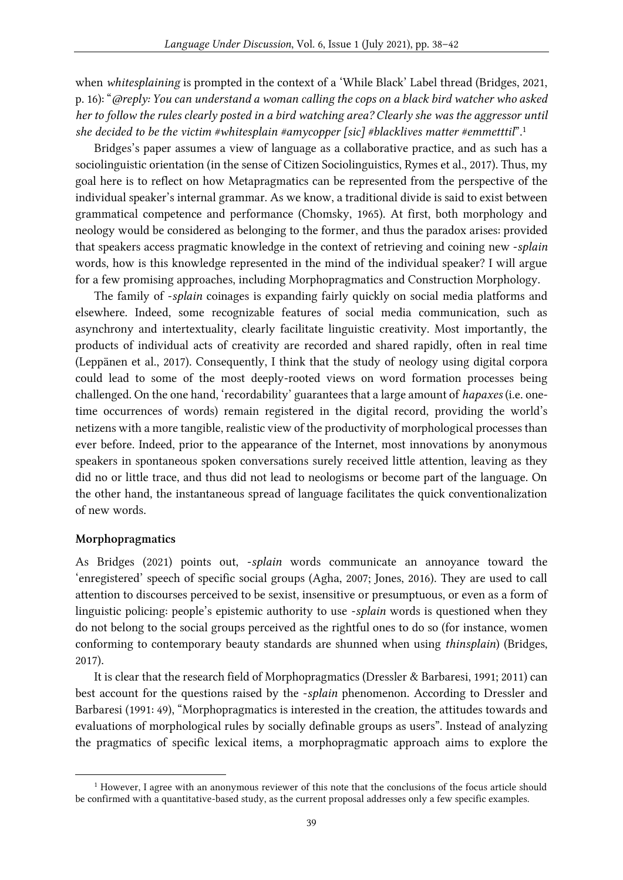when *whitesplaining* is prompted in the context of a 'While Black' Label thread (Bridges, 2021, p. 16): "*@reply: You can understand a woman calling the cops on a black bird watcher who asked her to follow the rules clearly posted in a bird watching area? Clearly she was the aggressor until she decided to be the victim #whitesplain #amycopper [sic] #blacklives matter #emmetttil*".<sup>1</sup>

Bridges's paper assumes a view of language as a collaborative practice, and as such has a sociolinguistic orientation (in the sense of Citizen Sociolinguistics, Rymes et al., 2017). Thus, my goal here is to reflect on how Metapragmatics can be represented from the perspective of the individual speaker's internal grammar. As we know, a traditional divide is said to exist between grammatical competence and performance (Chomsky, 1965). At first, both morphology and neology would be considered as belonging to the former, and thus the paradox arises: provided that speakers access pragmatic knowledge in the context of retrieving and coining new -*splain* words, how is this knowledge represented in the mind of the individual speaker? I will argue for a few promising approaches, including Morphopragmatics and Construction Morphology.

The family of -*splain* coinages is expanding fairly quickly on social media platforms and elsewhere. Indeed, some recognizable features of social media communication, such as asynchrony and intertextuality, clearly facilitate linguistic creativity. Most importantly, the products of individual acts of creativity are recorded and shared rapidly, often in real time (Leppänen et al., 2017). Consequently, I think that the study of neology using digital corpora could lead to some of the most deeply-rooted views on word formation processes being challenged. On the one hand, 'recordability' guarantees that a large amount of *hapaxes* (i.e. onetime occurrences of words) remain registered in the digital record, providing the world's netizens with a more tangible, realistic view of the productivity of morphological processes than ever before. Indeed, prior to the appearance of the Internet, most innovations by anonymous speakers in spontaneous spoken conversations surely received little attention, leaving as they did no or little trace, and thus did not lead to neologisms or become part of the language. On the other hand, the instantaneous spread of language facilitates the quick conventionalization of new words.

#### Morphopragmatics

As Bridges (2021) points out, -*splain* words communicate an annoyance toward the 'enregistered' speech of specific social groups (Agha, 2007; Jones, 2016). They are used to call attention to discourses perceived to be sexist, insensitive or presumptuous, or even as a form of linguistic policing: people's epistemic authority to use -*splain* words is questioned when they do not belong to the social groups perceived as the rightful ones to do so (for instance, women conforming to contemporary beauty standards are shunned when using *thinsplain*) (Bridges, 2017).

It is clear that the research field of Morphopragmatics (Dressler & Barbaresi, 1991; 2011) can best account for the questions raised by the -*splain* phenomenon. According to Dressler and Barbaresi (1991: 49), "Morphopragmatics is interested in the creation, the attitudes towards and evaluations of morphological rules by socially definable groups as users". Instead of analyzing the pragmatics of specific lexical items, a morphopragmatic approach aims to explore the

<sup>1</sup> However, I agree with an anonymous reviewer of this note that the conclusions of the focus article should be confirmed with a quantitative-based study, as the current proposal addresses only a few specific examples.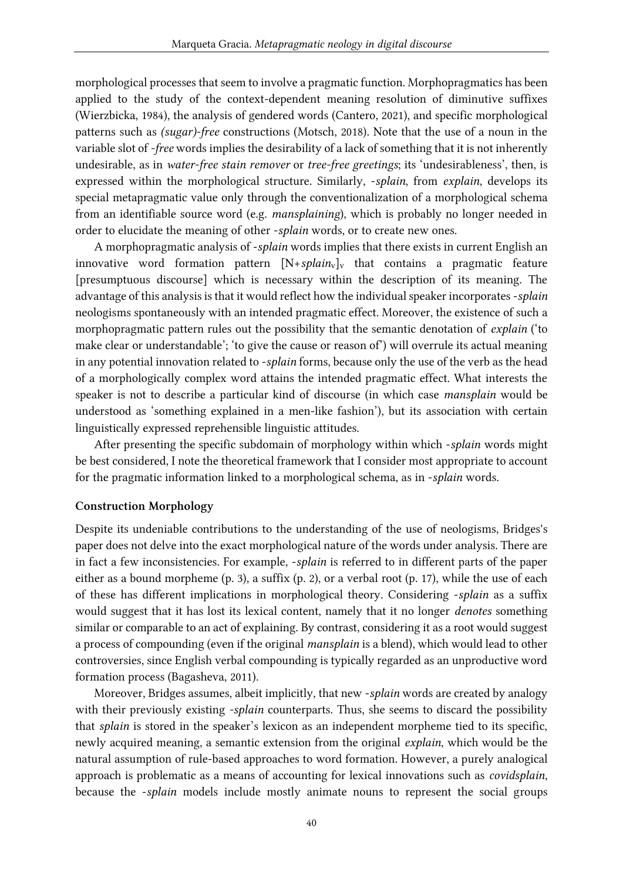morphological processes that seem to involve a pragmatic function. Morphopragmatics has been applied to the study of the context-dependent meaning resolution of diminutive suffixes (Wierzbicka, 1984), the analysis of gendered words (Cantero, 2021), and specific morphological patterns such as *(sugar)-free* constructions (Motsch, 2018). Note that the use of a noun in the variable slot of *-free* words implies the desirability of a lack of something that it is not inherently undesirable, as in *water-free stain remover* or *tree-free greetings*; its 'undesirableness', then, is expressed within the morphological structure. Similarly, -*splain*, from *explain*, develops its special metapragmatic value only through the conventionalization of a morphological schema from an identifiable source word (e.g. *mansplaining*), which is probably no longer needed in order to elucidate the meaning of other -*splain* words, or to create new ones.

A morphopragmatic analysis of -*splain* words implies that there exists in current English an innovative word formation pattern  $[N+splain_v]_v$  that contains a pragmatic feature [presumptuous discourse] which is necessary within the description of its meaning. The advantage of this analysis is that it would reflect how the individual speaker incorporates -*splain* neologisms spontaneously with an intended pragmatic effect. Moreover, the existence of such a morphopragmatic pattern rules out the possibility that the semantic denotation of *explain* ('to make clear or understandable'; 'to give the cause or reason of') will overrule its actual meaning in any potential innovation related to -*splain* forms, because only the use of the verb as the head of a morphologically complex word attains the intended pragmatic effect. What interests the speaker is not to describe a particular kind of discourse (in which case *mansplain* would be understood as 'something explained in a men-like fashion'), but its association with certain linguistically expressed reprehensible linguistic attitudes.

After presenting the specific subdomain of morphology within which -*splain* words might be best considered, I note the theoretical framework that I consider most appropriate to account for the pragmatic information linked to a morphological schema, as in -*splain* words.

#### Construction Morphology

Despite its undeniable contributions to the understanding of the use of neologisms, Bridges's paper does not delve into the exact morphological nature of the words under analysis. There are in fact a few inconsistencies. For example, -*splain* is referred to in different parts of the paper either as a bound morpheme (p. 3), a suffix (p. 2), or a verbal root (p. 17), while the use of each of these has different implications in morphological theory. Considering -*splain* as a suffix would suggest that it has lost its lexical content, namely that it no longer *denotes* something similar or comparable to an act of explaining. By contrast, considering it as a root would suggest a process of compounding (even if the original *mansplain* is a blend), which would lead to other controversies, since English verbal compounding is typically regarded as an unproductive word formation process (Bagasheva, 2011).

Moreover, Bridges assumes, albeit implicitly, that new -*splain* words are created by analogy with their previously existing *-splain* counterparts. Thus, she seems to discard the possibility that *splain* is stored in the speaker's lexicon as an independent morpheme tied to its specific, newly acquired meaning, a semantic extension from the original *explain*, which would be the natural assumption of rule-based approaches to word formation. However, a purely analogical approach is problematic as a means of accounting for lexical innovations such as *covidsplain*, because the -*splain* models include mostly animate nouns to represent the social groups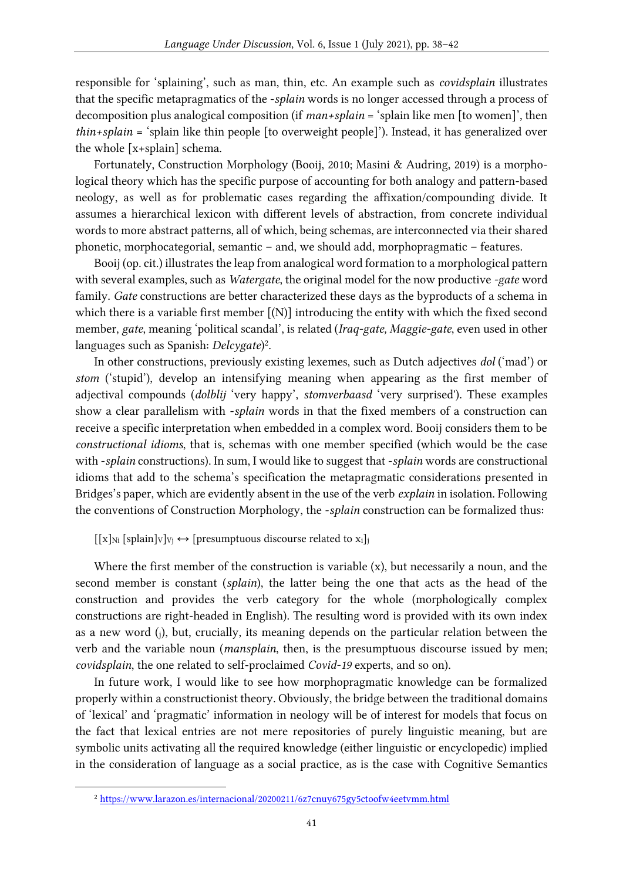responsible for 'splaining', such as man, thin, etc. An example such as *covidsplain* illustrates that the specific metapragmatics of the -*splain* words is no longer accessed through a process of decomposition plus analogical composition (if *man+splain* = 'splain like men [to women]', then *thin+splain* = 'splain like thin people [to overweight people]'). Instead, it has generalized over the whole [x+splain] schema.

Fortunately, Construction Morphology (Booij, 2010; Masini & Audring, 2019) is a morphological theory which has the specific purpose of accounting for both analogy and pattern-based neology, as well as for problematic cases regarding the affixation/compounding divide. It assumes a hierarchical lexicon with different levels of abstraction, from concrete individual words to more abstract patterns, all of which, being schemas, are interconnected via their shared phonetic, morphocategorial, semantic – and, we should add, morphopragmatic – features.

Booij (op. cit.) illustrates the leap from analogical word formation to a morphological pattern with several examples, such as *Watergate*, the original model for the now productive *-gate* word family. *Gate* constructions are better characterized these days as the byproducts of a schema in which there is a variable first member  $[(N)]$  introducing the entity with which the fixed second member, *gate*, meaning 'political scandal', is related (*Iraq-gate, Maggie-gate*, even used in other languages such as Spanish: *Delcygate*) 2 .

In other constructions, previously existing lexemes, such as Dutch adjectives *dol* ('mad') or *stom* ('stupid'), develop an intensifying meaning when appearing as the first member of adjectival compounds (*dolblij* 'very happy', *stomverbaasd* 'very surprised'). These examples show a clear parallelism with -*splain* words in that the fixed members of a construction can receive a specific interpretation when embedded in a complex word. Booij considers them to be *constructional idioms*, that is, schemas with one member specified (which would be the case with -*splain* constructions). In sum, I would like to suggest that -*splain* words are constructional idioms that add to the schema's specification the metapragmatic considerations presented in Bridges's paper, which are evidently absent in the use of the verb *explain* in isolation. Following the conventions of Construction Morphology, the -*splain* construction can be formalized thus:

 $[[x]_{Ni}$  [splain] $v]_{Vi} \leftrightarrow$  [presumptuous discourse related to  $x_i$ ]

Where the first member of the construction is variable (x), but necessarily a noun, and the second member is constant (*splain*), the latter being the one that acts as the head of the construction and provides the verb category for the whole (morphologically complex constructions are right-headed in English). The resulting word is provided with its own index as a new word (j), but, crucially, its meaning depends on the particular relation between the verb and the variable noun (*mansplain*, then, is the presumptuous discourse issued by men; *covidsplain*, the one related to self-proclaimed *Covid-19* experts, and so on).

In future work, I would like to see how morphopragmatic knowledge can be formalized properly within a constructionist theory. Obviously, the bridge between the traditional domains of 'lexical' and 'pragmatic' information in neology will be of interest for models that focus on the fact that lexical entries are not mere repositories of purely linguistic meaning, but are symbolic units activating all the required knowledge (either linguistic or encyclopedic) implied in the consideration of language as a social practice, as is the case with Cognitive Semantics

<sup>2</sup> <https://www.larazon.es/internacional/20200211/6z7cnuy675gy5ctoofw4eetvmm.html>